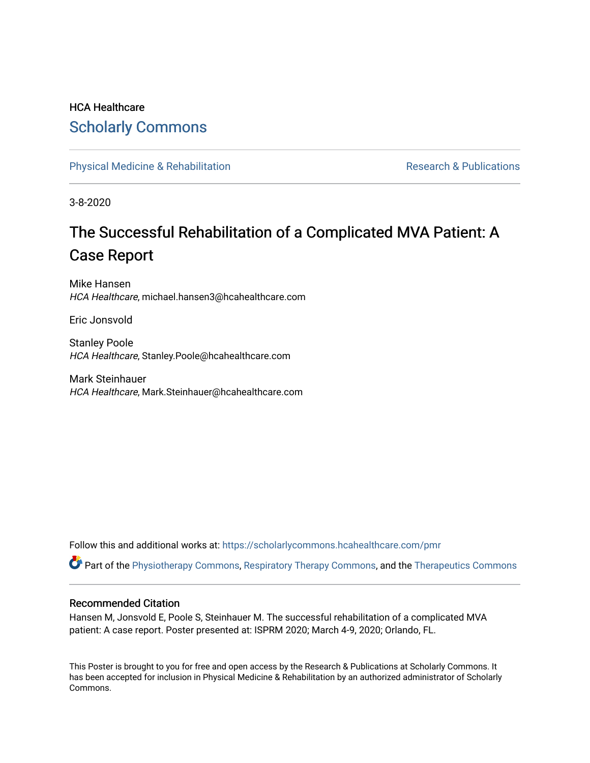#### HCA Healthcare [Scholarly Commons](https://scholarlycommons.hcahealthcare.com/)

[Physical Medicine & Rehabilitation](https://scholarlycommons.hcahealthcare.com/pmr) **Research & Publications** Research & Publications

3-8-2020

#### The Successful Rehabilitation of a Complicated MVA Patient: A Case Report

Mike Hansen HCA Healthcare, michael.hansen3@hcahealthcare.com

Eric Jonsvold

Stanley Poole HCA Healthcare, Stanley.Poole@hcahealthcare.com

Mark Steinhauer HCA Healthcare, Mark.Steinhauer@hcahealthcare.com

Follow this and additional works at: [https://scholarlycommons.hcahealthcare.com/pmr](https://scholarlycommons.hcahealthcare.com/pmr?utm_source=scholarlycommons.hcahealthcare.com%2Fpmr%2F6&utm_medium=PDF&utm_campaign=PDFCoverPages) 

Part of the [Physiotherapy Commons,](http://network.bepress.com/hgg/discipline/1086?utm_source=scholarlycommons.hcahealthcare.com%2Fpmr%2F6&utm_medium=PDF&utm_campaign=PDFCoverPages) [Respiratory Therapy Commons](http://network.bepress.com/hgg/discipline/1364?utm_source=scholarlycommons.hcahealthcare.com%2Fpmr%2F6&utm_medium=PDF&utm_campaign=PDFCoverPages), and the [Therapeutics Commons](http://network.bepress.com/hgg/discipline/993?utm_source=scholarlycommons.hcahealthcare.com%2Fpmr%2F6&utm_medium=PDF&utm_campaign=PDFCoverPages) 

#### Recommended Citation

Hansen M, Jonsvold E, Poole S, Steinhauer M. The successful rehabilitation of a complicated MVA patient: A case report. Poster presented at: ISPRM 2020; March 4-9, 2020; Orlando, FL.

This Poster is brought to you for free and open access by the Research & Publications at Scholarly Commons. It has been accepted for inclusion in Physical Medicine & Rehabilitation by an authorized administrator of Scholarly Commons.